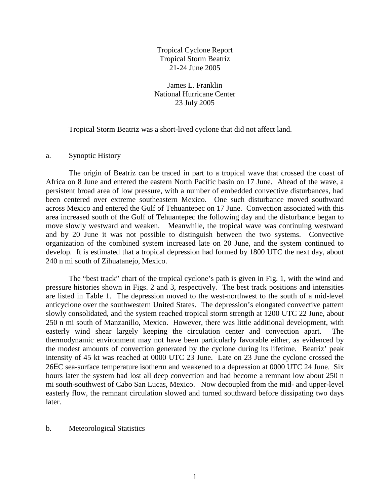Tropical Cyclone Report Tropical Storm Beatriz 21-24 June 2005

James L. Franklin National Hurricane Center 23 July 2005

Tropical Storm Beatriz was a short-lived cyclone that did not affect land.

a. Synoptic History

 The origin of Beatriz can be traced in part to a tropical wave that crossed the coast of Africa on 8 June and entered the eastern North Pacific basin on 17 June. Ahead of the wave, a persistent broad area of low pressure, with a number of embedded convective disturbances, had been centered over extreme southeastern Mexico. One such disturbance moved southward across Mexico and entered the Gulf of Tehuantepec on 17 June. Convection associated with this area increased south of the Gulf of Tehuantepec the following day and the disturbance began to move slowly westward and weaken. Meanwhile, the tropical wave was continuing westward and by 20 June it was not possible to distinguish between the two systems. Convective organization of the combined system increased late on 20 June, and the system continued to develop. It is estimated that a tropical depression had formed by 1800 UTC the next day, about 240 n mi south of Zihuatanejo, Mexico.

 The "best track" chart of the tropical cyclone's path is given in Fig. 1, with the wind and pressure histories shown in Figs. 2 and 3, respectively. The best track positions and intensities are listed in Table 1. The depression moved to the west-northwest to the south of a mid-level anticyclone over the southwestern United States. The depression's elongated convective pattern slowly consolidated, and the system reached tropical storm strength at 1200 UTC 22 June, about 250 n mi south of Manzanillo, Mexico. However, there was little additional development, with easterly wind shear largely keeping the circulation center and convection apart. thermodynamic environment may not have been particularly favorable either, as evidenced by the modest amounts of convection generated by the cyclone during its lifetime. Beatriz' peak intensity of 45 kt was reached at 0000 UTC 23 June. Late on 23 June the cyclone crossed the 26ΕC sea-surface temperature isotherm and weakened to a depression at 0000 UTC 24 June. Six hours later the system had lost all deep convection and had become a remnant low about 250 n mi south-southwest of Cabo San Lucas, Mexico. Now decoupled from the mid- and upper-level easterly flow, the remnant circulation slowed and turned southward before dissipating two days later.

b. Meteorological Statistics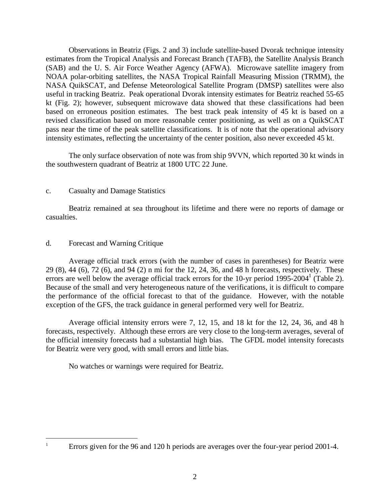Observations in Beatriz (Figs. 2 and 3) include satellite-based Dvorak technique intensity estimates from the Tropical Analysis and Forecast Branch (TAFB), the Satellite Analysis Branch (SAB) and the U. S. Air Force Weather Agency (AFWA). Microwave satellite imagery from NOAA polar-orbiting satellites, the NASA Tropical Rainfall Measuring Mission (TRMM), the NASA QuikSCAT, and Defense Meteorological Satellite Program (DMSP) satellites were also useful in tracking Beatriz. Peak operational Dvorak intensity estimates for Beatriz reached 55-65 kt (Fig. 2); however, subsequent microwave data showed that these classifications had been based on erroneous position estimates. The best track peak intensity of 45 kt is based on a revised classification based on more reasonable center positioning, as well as on a QuikSCAT pass near the time of the peak satellite classifications. It is of note that the operational advisory intensity estimates, reflecting the uncertainty of the center position, also never exceeded 45 kt.

 The only surface observation of note was from ship 9VVN, which reported 30 kt winds in the southwestern quadrant of Beatriz at 1800 UTC 22 June.

## c. Casualty and Damage Statistics

 Beatriz remained at sea throughout its lifetime and there were no reports of damage or casualties.

## d. Forecast and Warning Critique

 Average official track errors (with the number of cases in parentheses) for Beatriz were 29 (8), 44 (6), 72 (6), and 94 (2) n mi for the 12, 24, 36, and 48 h forecasts, respectively. These errors are well below the average official track errors for the 10-yr period  $1995-2004<sup>1</sup>$  (Table 2). Because of the small and very heterogeneous nature of the verifications, it is difficult to compare the performance of the official forecast to that of the guidance. However, with the notable exception of the GFS, the track guidance in general performed very well for Beatriz.

 Average official intensity errors were 7, 12, 15, and 18 kt for the 12, 24, 36, and 48 h forecasts, respectively. Although these errors are very close to the long-term averages, several of the official intensity forecasts had a substantial high bias. The GFDL model intensity forecasts for Beatriz were very good, with small errors and little bias.

No watches or warnings were required for Beatriz.

<sup>&</sup>lt;u>.</u> 1

Errors given for the 96 and 120 h periods are averages over the four-year period 2001-4.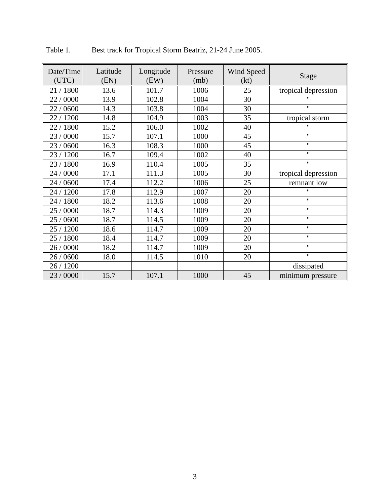| Date/Time<br>(UTC) | Latitude<br>(EN) | Longitude<br>(EW) | Pressure<br>(mb) | Wind Speed<br>(kt) | <b>Stage</b>        |  |
|--------------------|------------------|-------------------|------------------|--------------------|---------------------|--|
| 21/1800            | 13.6             | 101.7             | 1006             | 25                 | tropical depression |  |
| 22 / 0000          | 13.9             | 102.8             | 1004             | 30                 | 11                  |  |
| 22 / 0600          | 14.3             | 103.8             | 1004             | 30                 | $\mathbf{H}$        |  |
| 22 / 1200          | 14.8             | 104.9             | 1003             | 35                 | tropical storm      |  |
| 22 / 1800          | 15.2             | 106.0             | 1002             | 40                 | $^{\prime}$         |  |
| 23 / 0000          | 15.7             | 107.1             | 1000             | 45                 | $\mathbf{H}$        |  |
| 23 / 0600          | 16.3             | 108.3             | 1000             | 45                 | $\mathbf{H}$        |  |
| 23 / 1200          | 16.7             | 109.4             | 1002             | 40                 | $^{\prime\prime}$   |  |
| 23 / 1800          | 16.9             | 110.4             | 1005             | 35                 | $\mathbf{H}$        |  |
| 24 / 0000          | 17.1             | 111.3             | 1005             | 30                 | tropical depression |  |
| 24 / 0600          | 17.4             | 112.2             | 1006             | 25                 | remnant low         |  |
| 24 / 1200          | 17.8             | 112.9             | 1007             | 20                 | $^{\prime\prime}$   |  |
| 24 / 1800          | 18.2             | 113.6             | 1008             | 20                 | $^{\prime\prime}$   |  |
| 25 / 0000          | 18.7             | 114.3             | 1009             | 20                 | $\mathbf{H}$        |  |
| 25 / 0600          | 18.7             | 114.5             | 1009             | 20                 | $\mathbf{H}$        |  |
| 25 / 1200          | 18.6             | 114.7             | 1009             | 20                 | $\mathbf{H}$        |  |
| 25 / 1800          | 18.4             | 114.7             | 1009             | 20                 | $\mathbf{H}$        |  |
| 26 / 0000          | 18.2             | 114.7             | 1009             | 20                 | $\mathbf{H}$        |  |
| 26 / 0600          | 18.0             | 114.5             | 1010             | 20                 | $^{\prime\prime}$   |  |
| 26 / 1200          |                  |                   |                  |                    | dissipated          |  |
| 23 / 0000          | 15.7             | 107.1             | 1000             | 45                 | minimum pressure    |  |

Table 1. Best track for Tropical Storm Beatriz, 21-24 June 2005.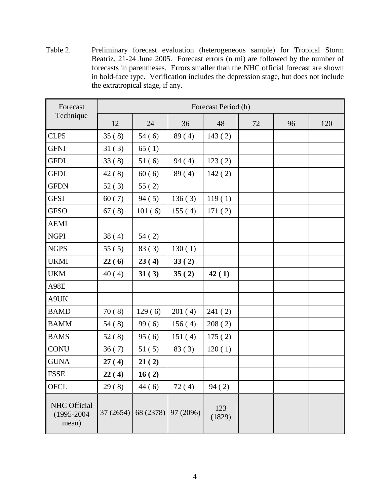Table 2. Preliminary forecast evaluation (heterogeneous sample) for Tropical Storm Beatriz, 21-24 June 2005. Forecast errors (n mi) are followed by the number of forecasts in parentheses. Errors smaller than the NHC official forecast are shown in bold-face type. Verification includes the depression stage, but does not include the extratropical stage, if any.

| Forecast                                | Forecast Period (h) |           |           |               |        |    |     |  |  |
|-----------------------------------------|---------------------|-----------|-----------|---------------|--------|----|-----|--|--|
| Technique                               | 12                  | 24        | 36        | 48            | $72\,$ | 96 | 120 |  |  |
| CLP5                                    | 35(8)               | 54(6)     | 89(4)     | 143(2)        |        |    |     |  |  |
| <b>GFNI</b>                             | 31(3)               | 65(1)     |           |               |        |    |     |  |  |
| <b>GFDI</b>                             | 33(8)               | 51(6)     | 94(4)     | 123(2)        |        |    |     |  |  |
| <b>GFDL</b>                             | 42(8)               | 60(6)     | 89(4)     | 142(2)        |        |    |     |  |  |
| <b>GFDN</b>                             | 52(3)               | 55(2)     |           |               |        |    |     |  |  |
| <b>GFSI</b>                             | 60(7)               | 94(5)     | 136(3)    | 119(1)        |        |    |     |  |  |
| <b>GFSO</b>                             | 67(8)               | 101(6)    | 155(4)    | 171(2)        |        |    |     |  |  |
| <b>AEMI</b>                             |                     |           |           |               |        |    |     |  |  |
| <b>NGPI</b>                             | 38(4)               | 54(2)     |           |               |        |    |     |  |  |
| <b>NGPS</b>                             | 55(5)               | 83(3)     | 130(1)    |               |        |    |     |  |  |
| <b>UKMI</b>                             | 22(6)               | 23(4)     | 33(2)     |               |        |    |     |  |  |
| <b>UKM</b>                              | 40(4)               | 31(3)     | 35(2)     | 42(1)         |        |    |     |  |  |
| A98E                                    |                     |           |           |               |        |    |     |  |  |
| A9UK                                    |                     |           |           |               |        |    |     |  |  |
| <b>BAMD</b>                             | 70(8)               | 129(6)    | 201(4)    | 241(2)        |        |    |     |  |  |
| <b>BAMM</b>                             | 54(8)               | 99(6)     | 156(4)    | 208(2)        |        |    |     |  |  |
| <b>BAMS</b>                             | 52(8)               | 95(6)     | 151(4)    | 175(2)        |        |    |     |  |  |
| <b>CONU</b>                             | 36(7)               | 51(5)     | 83(3)     | 120(1)        |        |    |     |  |  |
| <b>GUNA</b>                             | 27(4)               | 21(2)     |           |               |        |    |     |  |  |
| <b>FSSE</b>                             | 22(4)               | 16(2)     |           |               |        |    |     |  |  |
| <b>OFCL</b>                             | 29(8)               | 44(6)     | 72(4)     | 94(2)         |        |    |     |  |  |
| NHC Official<br>$(1995 - 2004$<br>mean) | 37(2654)            | 68 (2378) | 97 (2096) | 123<br>(1829) |        |    |     |  |  |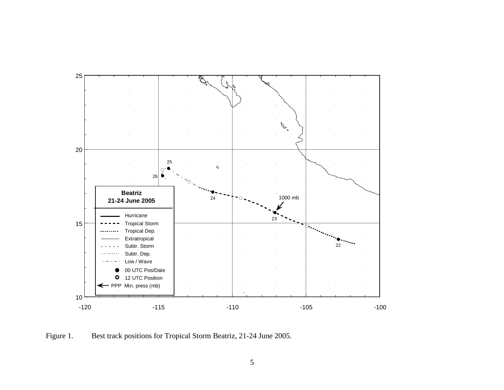

Figure 1. Best track positions for Tropical Storm Beatriz, 21-24 June 2005.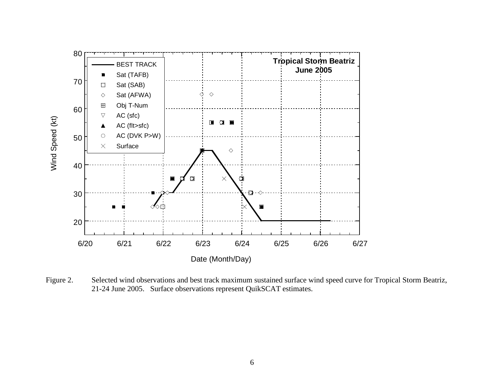

Figure 2. Selected wind observations and best track maximum sustained surface wind speed curve for Tropical Storm Beatriz, 21-24 June 2005. Surface observations represent QuikSCAT estimates.